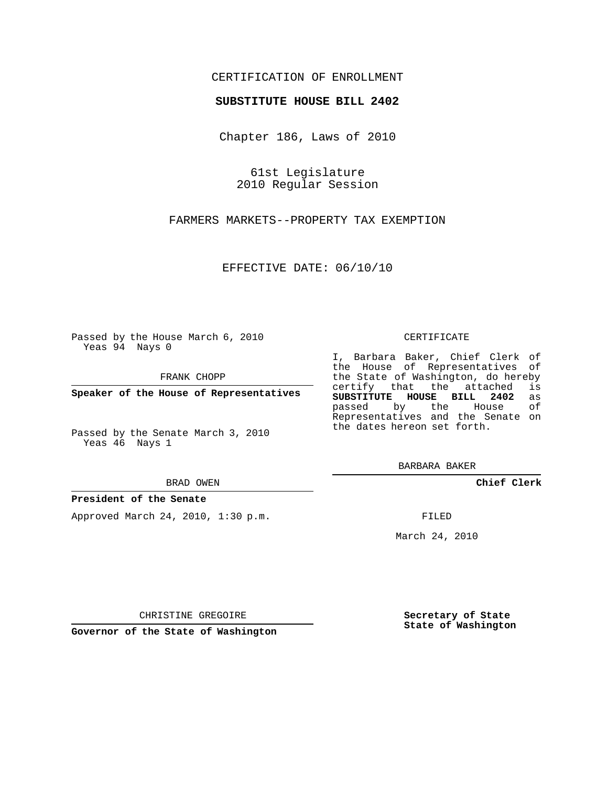## CERTIFICATION OF ENROLLMENT

### **SUBSTITUTE HOUSE BILL 2402**

Chapter 186, Laws of 2010

61st Legislature 2010 Regular Session

FARMERS MARKETS--PROPERTY TAX EXEMPTION

EFFECTIVE DATE: 06/10/10

Passed by the House March 6, 2010 Yeas 94 Nays 0

FRANK CHOPP

**Speaker of the House of Representatives**

Passed by the Senate March 3, 2010 Yeas 46 Nays 1

BRAD OWEN

### **President of the Senate**

Approved March 24, 2010, 1:30 p.m.

CERTIFICATE

I, Barbara Baker, Chief Clerk of the House of Representatives of the State of Washington, do hereby<br>certify that the attached is certify that the attached **SUBSTITUTE HOUSE BILL 2402** as passed by the Representatives and the Senate on the dates hereon set forth.

BARBARA BAKER

**Chief Clerk**

FILED

March 24, 2010

**Secretary of State State of Washington**

CHRISTINE GREGOIRE

**Governor of the State of Washington**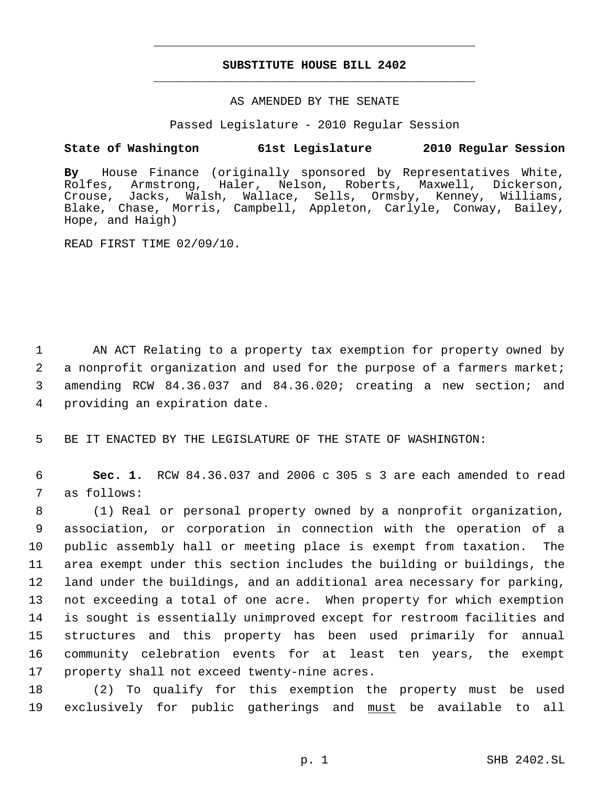# **SUBSTITUTE HOUSE BILL 2402** \_\_\_\_\_\_\_\_\_\_\_\_\_\_\_\_\_\_\_\_\_\_\_\_\_\_\_\_\_\_\_\_\_\_\_\_\_\_\_\_\_\_\_\_\_

\_\_\_\_\_\_\_\_\_\_\_\_\_\_\_\_\_\_\_\_\_\_\_\_\_\_\_\_\_\_\_\_\_\_\_\_\_\_\_\_\_\_\_\_\_

### AS AMENDED BY THE SENATE

Passed Legislature - 2010 Regular Session

## **State of Washington 61st Legislature 2010 Regular Session**

**By** House Finance (originally sponsored by Representatives White, Rolfes, Armstrong, Haler, Nelson, Roberts, Maxwell, Dickerson, Crouse, Jacks, Walsh, Wallace, Sells, Ormsby, Kenney, Williams, Blake, Chase, Morris, Campbell, Appleton, Carlyle, Conway, Bailey, Hope, and Haigh)

READ FIRST TIME 02/09/10.

 AN ACT Relating to a property tax exemption for property owned by 2 a nonprofit organization and used for the purpose of a farmers market; amending RCW 84.36.037 and 84.36.020; creating a new section; and providing an expiration date.

5 BE IT ENACTED BY THE LEGISLATURE OF THE STATE OF WASHINGTON:

 6 **Sec. 1.** RCW 84.36.037 and 2006 c 305 s 3 are each amended to read 7 as follows:

 (1) Real or personal property owned by a nonprofit organization, association, or corporation in connection with the operation of a public assembly hall or meeting place is exempt from taxation. The area exempt under this section includes the building or buildings, the land under the buildings, and an additional area necessary for parking, not exceeding a total of one acre. When property for which exemption is sought is essentially unimproved except for restroom facilities and structures and this property has been used primarily for annual community celebration events for at least ten years, the exempt property shall not exceed twenty-nine acres.

18 (2) To qualify for this exemption the property must be used 19 exclusively for public gatherings and must be available to all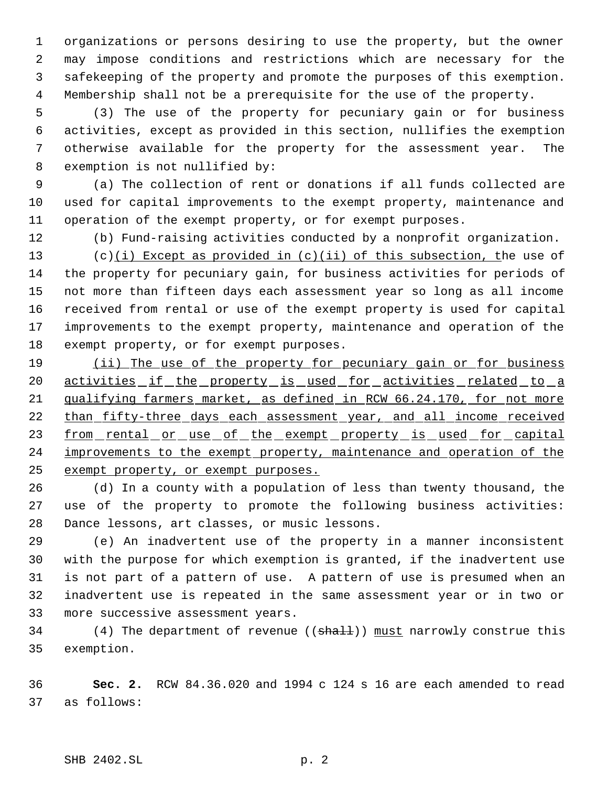organizations or persons desiring to use the property, but the owner may impose conditions and restrictions which are necessary for the safekeeping of the property and promote the purposes of this exemption. Membership shall not be a prerequisite for the use of the property.

 (3) The use of the property for pecuniary gain or for business activities, except as provided in this section, nullifies the exemption otherwise available for the property for the assessment year. The exemption is not nullified by:

 (a) The collection of rent or donations if all funds collected are used for capital improvements to the exempt property, maintenance and operation of the exempt property, or for exempt purposes.

(b) Fund-raising activities conducted by a nonprofit organization.

13 (c)(i) Except as provided in (c)(ii) of this subsection, the use of the property for pecuniary gain, for business activities for periods of not more than fifteen days each assessment year so long as all income received from rental or use of the exempt property is used for capital improvements to the exempt property, maintenance and operation of the exempt property, or for exempt purposes.

19 (ii) The use of the property for pecuniary gain or for business activities if the property is used for activities related to a 21 qualifying farmers market, as defined in RCW 66.24.170, for not more 22 than fifty-three days each assessment year, and all income received 23 from rental or use of the exempt property is used for capital 24 improvements to the exempt property, maintenance and operation of the exempt property, or exempt purposes.

 (d) In a county with a population of less than twenty thousand, the use of the property to promote the following business activities: Dance lessons, art classes, or music lessons.

 (e) An inadvertent use of the property in a manner inconsistent with the purpose for which exemption is granted, if the inadvertent use is not part of a pattern of use. A pattern of use is presumed when an inadvertent use is repeated in the same assessment year or in two or more successive assessment years.

34 (4) The department of revenue ((shall)) must narrowly construe this exemption.

 **Sec. 2.** RCW 84.36.020 and 1994 c 124 s 16 are each amended to read as follows: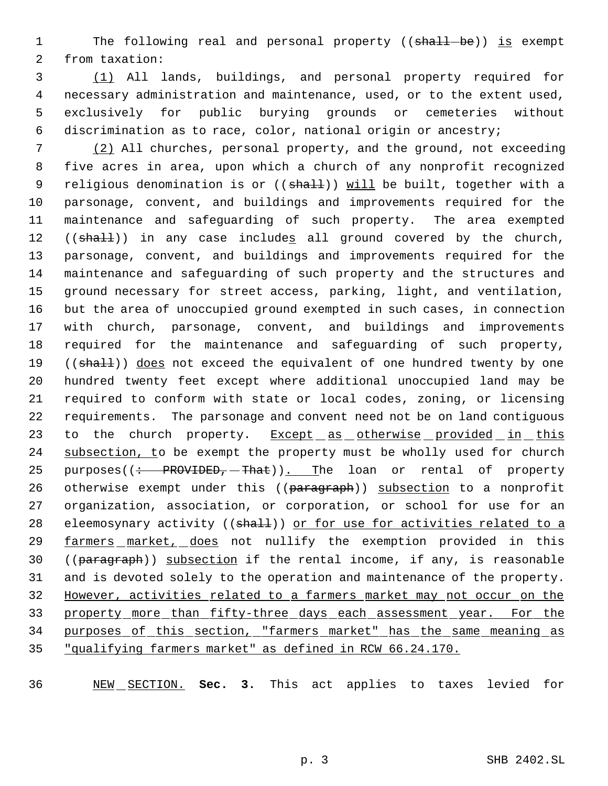1 The following real and personal property ((shall-be)) is exempt from taxation:

 (1) All lands, buildings, and personal property required for necessary administration and maintenance, used, or to the extent used, exclusively for public burying grounds or cemeteries without discrimination as to race, color, national origin or ancestry;

 (2) All churches, personal property, and the ground, not exceeding five acres in area, upon which a church of any nonprofit recognized 9 religious denomination is or ((shall)) will be built, together with a parsonage, convent, and buildings and improvements required for the maintenance and safeguarding of such property. The area exempted 12 ((shall)) in any case includes all ground covered by the church, parsonage, convent, and buildings and improvements required for the maintenance and safeguarding of such property and the structures and ground necessary for street access, parking, light, and ventilation, but the area of unoccupied ground exempted in such cases, in connection with church, parsonage, convent, and buildings and improvements required for the maintenance and safeguarding of such property, 19 ((shall)) does not exceed the equivalent of one hundred twenty by one hundred twenty feet except where additional unoccupied land may be required to conform with state or local codes, zoning, or licensing requirements. The parsonage and convent need not be on land contiguous 23 to the church property. Except as otherwise provided in this 24 subsection, to be exempt the property must be wholly used for church 25 purposes( $\left($  : PROVIDED, That)). The loan or rental of property 26 otherwise exempt under this ((paragraph)) subsection to a nonprofit organization, association, or corporation, or school for use for an 28 eleemosynary activity ((shall)) or for use for activities related to a farmers market, does not nullify the exemption provided in this 30 ((paragraph)) subsection if the rental income, if any, is reasonable and is devoted solely to the operation and maintenance of the property. However, activities related to a farmers market may not occur on the 33 property more than fifty-three days each assessment year. For the purposes of this section, "farmers market" has the same meaning as "qualifying farmers market" as defined in RCW 66.24.170.

NEW SECTION. **Sec. 3.** This act applies to taxes levied for